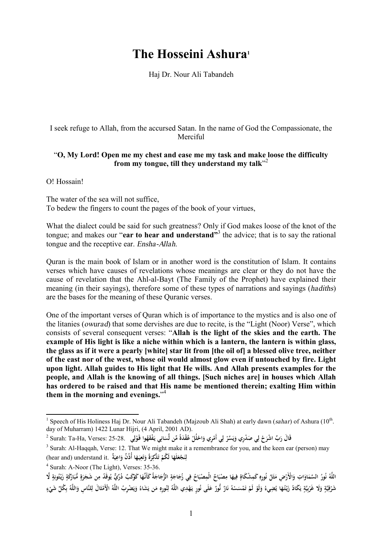## **The Hosseini Ashura<sup>1</sup>**

Haj Dr. Nour Ali Tabandeh

I seek refuge to Allah, from the accursed Satan. In the name of God the Compassionate, the Merciful

## "**O, My Lord! Open me my chest and ease me my task and make loose the difficulty from my tongue, till they understand my talk**" 2

O! Hossain!

The water of the sea will not suffice, To bedew the fingers to count the pages of the book of your virtues,

What the dialect could be said for such greatness? Only if God makes loose of the knot of the tongue; and makes our "**ear to hear and understand"** 3 the advice; that is to say the rational tongue and the receptive ear. *Ensha-Allah*.

Quran is the main book of Islam or in another word is the constitution of Islam. It contains verses which have causes of revelations whose meanings are clear or they do not have the cause of revelation that the Ahl-al-Bayt (The Family of the Prophet) have explained their meaning (in their sayings), therefore some of these types of narrations and sayings (*hadiths*) are the bases for the meaning of these Quranic verses.

One of the important verses of Quran which is of importance to the mystics and is also one of the litanies (*owurad*) that some dervishes are due to recite, is the "Light (Noor) Verse", which consists of several consequent verses: "**Allah is the light of the skies and the earth. The example of His light is like a niche within which is a lantern, the lantern is within glass, the glass as if it were a pearly [white] star lit from [the oil of] a blessed olive tree, neither of the east nor of the west, whose oil would almost glow even if untouched by fire. Light upon light. Allah guides to His light that He wills. And Allah presents examples for the people, and Allah is the knowing of all things. [Such niches are] in houses which Allah has ordered to be raised and that His name be mentioned therein; exalting Him within them in the morning and evenings.**" 4

<sup>&</sup>lt;sup>1</sup> Speech of His Holiness Haj Dr. Nour Ali Tabandeh (Majzoub Ali Shah) at early dawn (*sahar*) of Ashura (10<sup>th</sup>. day of Muharram) 1422 Lunar Hijri, (4 April, 2001 AD).

<sup>2</sup> Surah: Ta-Ha, Verses: 25-28. **ريِدْ صَ ي َح ِّب ْ اشر قَ َ ال ر ي ُوا َقـو ْفَقه ي يـ ان ِّس َدةً ِّمن ل ُْق ع لُل اح ِري و ي أَم َ ِّسر و ِ ل ْ َ ِ ل ْ َ ٔ َ ْ ْ َ ْ ِ ل ْ ي َ**

 $3$  Surah: Al-Haqqah, Verse: 12. That We might make it a remembrance for you, and the keen ear (person) may لِنَجْعَلَهَا لَكُمْ تَذْكِرَةً وَتَعِيَهَا أُذُنٌ وَاعِيَةٌ .hear and) understand it)<br>. **َ َ ِ ْ َ َ َ َ ِ ت َ َ َ**

<sup>4</sup> Surah: A-Noor (The Light), Verses: 35-36.

اللَّهُ نُورُ السَّمَاوَاتِ وَالْأَرْضِ مَثَلُ نُورِهِ كَمِشْكَاةٍ فِيهَا مِصْبَاحٌ الْمِصْبَاحُ فِي زُجَاجَةٍ الزُّجَاجَةُ كَأَنَّهَا كَوْكَبٌ دُرِّيٍّ يُوقَدُ مِن شَجَرَةٍ مُّبَارَكَةٍ زَيْتُونِةٍ لَّا **َ َ َ َ ِ ِ َ ٍ ِ ن َ ْ َ َ َ ن ِ ْ َ ٍ ِ ْ َ ٍ َ َ ٍ َ َ** شَرْقِيَّةٍ وَلَا غَرْبِيَّةٍ يَكَادُ زَيْتُهَا يُضِيءُ وَلَوْ لَمْ تَمْسَسْهُ نَارٌ نُّورٌ عَلَى نُورٍ يَهْدِي اللَّهُ لِنُورِهِ مَن يَشَاءُ وَيَصْرِبُ اللَّهُ الْأَمْثَالَ لِلنَّاسِ وَاللَّهُ بِكُلِّ شَيْءٍ **ِ ل َ َ ن ْ ت ْ ْ َ َ ْ َ َ ي ٍ بِ ْ َ ٍ ِ ْ ٍ ْ ِ ب**<br>: **َ َ ْ ي َ ِ**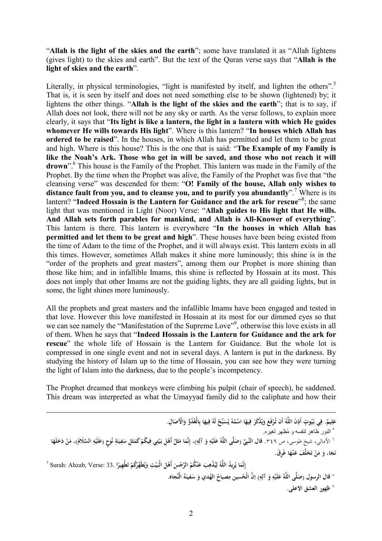"**Allah is the light of the skies and the earth**"; some have translated it as "Allah lightens (gives light) to the skies and earth". But the text of the Quran verse says that "**Allah is the light of skies and the earth**".

Literally, in physical terminologies, "light is manifested by itself, and lighten the others".<sup>5</sup> That is, it is seen by itself and does not need something else to be shown (lightened) by; it lightens the other things. "**Allah is the light of the skies and the earth**"; that is to say, if Allah does not look, there will not be any sky or earth. As the verse follows, to explain more clearly, it says that "**Its light is like a lantern, the light in a lantern with which He guides whomever He wills towards His light**". Where is this lantern? "**In houses which Allah has ordered to be raised**". In the houses, in which Allah has permitted and let them to be great and high. Where is this house? This is the one that is said: "**The Example of my Family is**  like the Noah's Ark. Those who get in will be saved, and those who not reach it will **drown**". 6 This house is the Family of the Prophet. This lantern was made in the Family of the Prophet. By the time when the Prophet was alive, the Family of the Prophet was five that "the cleansing verse" was descended for them: "**O! Family of the house, Allah only wishes to distance fault from you, and to cleanse you, and to purify you abundantly**". <sup>7</sup> Where is its lantern? "**Indeed Hossain is the Lantern for Guidance and the ark for rescue**" 8 ; the same light that was mentioned in Light (Noor) Verse: "**Allah guides to His light that He wills. And Allah sets forth parables for mankind, and Allah is All-Knower of everything**". This lantern is there. This lantern is everywhere "**In the houses in which Allah has permitted and let them to be great and high**". These houses have been being existed from the time of Adam to the time of the Prophet, and it will always exist. This lantern exists in all this times. However, sometimes Allah makes it shine more luminously; this shine is in the "order of the prophets and great masters", among them our Prophet is more shining than those like him; and in infallible Imams, this shine is reflected by Hossain at its most. This does not imply that other Imams are not the guiding lights, they are all guiding lights, but in some, the light shines more luminously.

All the prophets and great masters and the infallible Imams have been engaged and tested in that love. However this love manifested in Hossain at its most for our dimmed eyes so that we can see namely the "Manifestation of the Supreme Love"<sup>9</sup>, otherwise this love exists in all of them. When he says that "**Indeed Hossain is the Lantern for Guidance and the ark for rescue**" the whole life of Hossain is the Lantern for Guidance. But the whole lot is compressed in one single event and not in several days. A lantern is put in the darkness. By studying the history of Islam up to the time of Hossain, you can see how they were turning the light of Islam into the darkness, due to the people's incompetency.

The Prophet dreamed that monkeys were climbing his pulpit (chair of speech), he saddened. This dream was interpreted as what the Umayyad family did to the caliphate and how their

l عَلِيمٌ. فِي بُيُوتٍ أَذِنَ اللَّهُ أَن تُرْفَعَ وَيُنْكَرَ فِيهَا اسْمُهُ يُسَبِّحُ لَهُ فِيهَا بِالْغُدُوِّ وَالْآصَالِ. **ِ َ ِ َ َ َ ي َ َ ي َ َ ْ** ٥ النور ظاھر لنفسھ و مُظھر لغیره. ` الأمالى، شيخٍ طوسى، ص ٣٤٩. قال النَّبِيِّ (صَلَّى اللَّهُ عَلَيْهِ وَ آلِهِ)، إِنَّمَا مَثَلُ أَهْلِ بَيْتِي فِيكُمْ كَمَثَلِ سَفِينَةِ نُوحٍ (عَلَيْهِ السَّلَامُ)، مَنْ دَخَلَهَا **ن ِ َ َ َ ْ ِ ِ ْ َ ْ َ َ ِ ِ ِ َ ِ ْ َ ِ َ ْ ْ َ**  $\hat{\mathbf{d}}$ فَرَّ مَنْ تَخَلَّفَ عَنْهَا غَرِقَ. **َ َ ت ْ َ َ**  $^7$  Surah: Ahzab, Verse: 33. إِنَّمَا يُرِيدُ اللَّهُ لِيُذْهِبَ عَنْكُمُ الرِّجْسَ أَهْلَ الْبَيْتِ وَيُطَهِّرَكُمْ تَطْهِيرًا **َ ِ ي ِ ِ ل َ َ َ ْ َ َ ي َ ً ت** ^ قال الرسول (صَلَّى اللَّهُ عَلَيْهِ وَ آلِهِ) إنَّ الْحُسين مِصباحُ الهُدي وَ سَفينَهُ الْنِّجاه. **ِ َ ِ ْ َ َ َ** ٩ **ظهور العشق الاعلی.**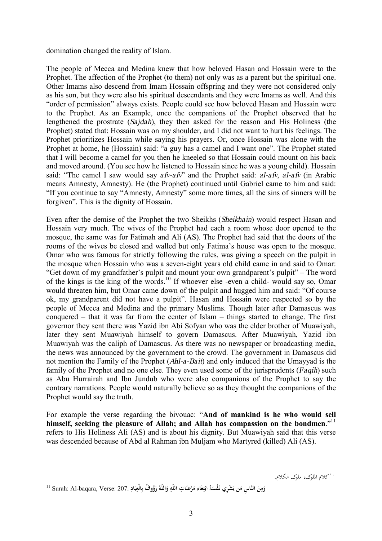domination changed the reality of Islam.

The people of Mecca and Medina knew that how beloved Hasan and Hossain were to the Prophet. The affection of the Prophet (to them) not only was as a parent but the spiritual one. Other Imams also descend from Imam Hossain offspring and they were not considered only as his son, but they were also his spiritual descendants and they were Imams as well. And this "order of permission" always exists. People could see how beloved Hasan and Hossain were to the Prophet. As an Example, once the companions of the Prophet observed that he lengthened the prostrate (*Sajdah*), they then asked for the reason and His Holiness (the Prophet) stated that: Hossain was on my shoulder, and I did not want to hurt his feelings. The Prophet prioritizes Hossain while saying his prayers. Or, once Hossain was alone with the Prophet at home, he (Hossain) said: "a guy has a camel and I want one". The Prophet stated that I will become a camel for you then he kneeled so that Hossain could mount on his back and moved around. (You see how he listened to Hossain since he was a young child). Hossain said: "The camel I saw would say *afv-afv*" and the Prophet said: *al-afv, al-afv* (in Arabic means Amnesty, Amnesty). He (the Prophet) continued until Gabriel came to him and said: "If you continue to say "Amnesty, Amnesty" some more times, all the sins of sinners will be forgiven". This is the dignity of Hossain.

Even after the demise of the Prophet the two Sheikhs (*Sheikhain*) would respect Hasan and Hossain very much. The wives of the Prophet had each a room whose door opened to the mosque, the same was for Fatimah and Ali (AS). The Prophet had said that the doors of the rooms of the wives be closed and walled but only Fatima's house was open to the mosque. Omar who was famous for strictly following the rules, was giving a speech on the pulpit in the mosque when Hossain who was a seven-eight years old child came in and said to Omar: "Get down of my grandfather's pulpit and mount your own grandparent's pulpit" – The word of the kings is the king of the words.<sup>10</sup> If whoever else -even a child- would say so, Omar would threaten him, but Omar came down of the pulpit and hugged him and said: "Of course ok, my grandparent did not have a pulpit". Hasan and Hossain were respected so by the people of Mecca and Medina and the primary Muslims. Though later after Damascus was conquered – that it was far from the center of Islam – things started to change. The first governor they sent there was Yazid ibn Abi Sofyan who was the elder brother of Muawiyah, later they sent Muawiyah himself to govern Damascus. After Muawiyah, Yazid ibn Muawiyah was the caliph of Damascus. As there was no newspaper or broadcasting media, the news was announced by the government to the crowd. The government in Damascus did not mention the Family of the Prophet (*Ahl-a-Bait*) and only induced that the Umayyad is the family of the Prophet and no one else. They even used some of the jurisprudents (*Faqih*) such as Abu Hurrairah and Ibn Jundub who were also companions of the Prophet to say the contrary narrations. People would naturally believe so as they thought the companions of the Prophet would say the truth.

For example the verse regarding the bivouac: "**And of mankind is he who would sell himself, seeking the pleasure of Allah; and Allah has compassion on the bondmen**." 11 refers to His Holiness Ali (AS) and is about his dignity. But Muawiyah said that this verse was descended because of Abd al Rahman ibn Muljam who Martyred (killed) Ali (AS).

١٠ کلام الملوک، ملوک الکلام.

l

وَمِنَ النَّاسِ مَن يَشْرِي نَفْسَهُ ابْتِغَاء مَرْضَاتِ اللَّهِ وَاللَّهُ رَؤُوفٌ بِالْعِبَادِ .207 :Surah: Al-baqara, Verse ال **َ ِ َ َ َ ي َ َ ِ ْ َ ِ َ َ ِ ب**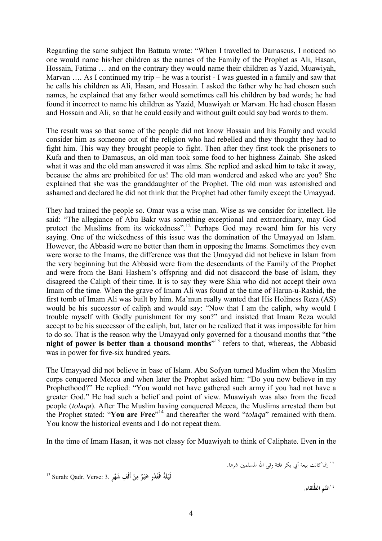Regarding the same subject Ibn Battuta wrote: "When I travelled to Damascus, I noticed no one would name his/her children as the names of the Family of the Prophet as Ali, Hasan, Hossain, Fatima … and on the contrary they would name their children as Yazid, Muawiyah, Marvan .... As I continued my trip – he was a tourist - I was guested in a family and saw that he calls his children as Ali, Hasan, and Hossain. I asked the father why he had chosen such names, he explained that any father would sometimes call his children by bad words; he had found it incorrect to name his children as Yazid, Muawiyah or Marvan. He had chosen Hasan and Hossain and Ali, so that he could easily and without guilt could say bad words to them.

The result was so that some of the people did not know Hossain and his Family and would consider him as someone out of the religion who had rebelled and they thought they had to fight him. This way they brought people to fight. Then after they first took the prisoners to Kufa and then to Damascus, an old man took some food to her highness Zainab. She asked what it was and the old man answered it was alms. She replied and asked him to take it away, because the alms are prohibited for us! The old man wondered and asked who are you? She explained that she was the granddaughter of the Prophet. The old man was astonished and ashamed and declared he did not think that the Prophet had other family except the Umayyad.

They had trained the people so. Omar was a wise man. Wise as we consider for intellect. He said: "The allegiance of Abu Bakr was something exceptional and extraordinary, may God protect the Muslims from its wickedness".<sup>12</sup> Perhaps God may reward him for his very saying. One of the wickedness of this issue was the domination of the Umayyad on Islam. However, the Abbasid were no better than them in opposing the Imams. Sometimes they even were worse to the Imams, the difference was that the Umayyad did not believe in Islam from the very beginning but the Abbasid were from the descendants of the Family of the Prophet and were from the Bani Hashem's offspring and did not disaccord the base of Islam, they disagreed the Caliph of their time. It is to say they were Shia who did not accept their own Imam of the time. When the grave of Imam Ali was found at the time of Harun-u-Rashid, the first tomb of Imam Ali was built by him. Ma'mun really wanted that His Holiness Reza (AS) would be his successor of caliph and would say: "Now that I am the caliph, why would I trouble myself with Godly punishment for my son?" and insisted that Imam Reza would accept to be his successor of the caliph, but, later on he realized that it was impossible for him to do so. That is the reason why the Umayyad only governed for a thousand months that "**the night of power is better than a thousand months**" <sup>13</sup> refers to that, whereas, the Abbasid was in power for five-six hundred years.

The Umayyad did not believe in base of Islam. Abu Sofyan turned Muslim when the Muslim corps conquered Mecca and when later the Prophet asked him: "Do you now believe in my Prophethood?" He replied: "You would not have gathered such army if you had not have a greater God." He had such a belief and point of view. Muawiyah was also from the freed people (*tolaqa*). After The Muslim having conquered Mecca, the Muslims arrested them but the Prophet stated: "**You are Free**" 14 and thereafter the word "*tolaqa*" remained with them. You know the historical events and I do not repeat them.

In the time of Imam Hasan, it was not classy for Muawiyah to think of Caliphate. Even in the

<sup>13</sup> Surah: Qadr, Verse: 3. **ُةَل ْدِر لَيـ َق الْ ٌ ْر ْن يـ َخ أَلْ ٍر ِف م َشه ْ ِ ْ**

 $\overline{a}$ 

١٢ إنماكانت بيعة أبي بكر فلتة وقى االله المسلمين شرها.

١٤ **ُم . انت لقاء الطُّ**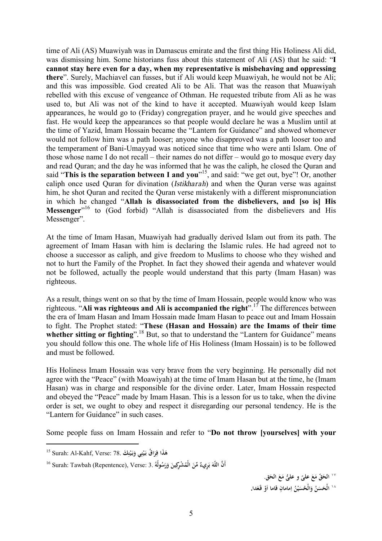time of Ali (AS) Muawiyah was in Damascus emirate and the first thing His Holiness Ali did, was dismissing him. Some historians fuss about this statement of Ali (AS) that he said: "**I cannot stay here even for a day, when my representative is misbehaving and oppressing there**". Surely, Machiavel can fusses, but if Ali would keep Muawiyah, he would not be Ali; and this was impossible. God created Ali to be Ali. That was the reason that Muawiyah rebelled with this excuse of vengeance of Othman. He requested tribute from Ali as he was used to, but Ali was not of the kind to have it accepted. Muawiyah would keep Islam appearances, he would go to (Friday) congregation prayer, and he would give speeches and fast. He would keep the appearances so that people would declare he was a Muslim until at the time of Yazid, Imam Hossain became the "Lantern for Guidance" and showed whomever would not follow him was a path looser; anyone who disapproved was a path looser too and the temperament of Bani-Umayyad was noticed since that time who were anti Islam. One of those whose name I do not recall – their names do not differ – would go to mosque every day and read Quran; and the day he was informed that he was the caliph, he closed the Quran and said "**This is the separation between I and you**" 15 , and said: "we get out, bye"! Or, another caliph once used Quran for divination (*Istikharah*) and when the Quran verse was against him, he shot Quran and recited the Quran verse mistakenly with a different mispronunciation in which he changed "**Allah is disassociated from the disbelievers, and [so is] His**  Messenger<sup>"16</sup> to (God forbid) "Allah is disassociated from the disbelievers and His Messenger".

At the time of Imam Hasan, Muawiyah had gradually derived Islam out from its path. The agreement of Imam Hasan with him is declaring the Islamic rules. He had agreed not to choose a successor as caliph, and give freedom to Muslims to choose who they wished and not to hurt the Family of the Prophet. In fact they showed their agenda and whatever would not be followed, actually the people would understand that this party (Imam Hasan) was righteous.

As a result, things went on so that by the time of Imam Hossain, people would know who was righteous. "**Ali was righteous and Ali is accompanied the right**". <sup>17</sup> The differences between the era of Imam Hasan and Imam Hossain made Imam Hasan to peace out and Imam Hossain to fight. The Prophet stated: "**These (Hasan and Hossain) are the Imams of their time whether sitting or fighting**". <sup>18</sup> But, so that to understand the "Lantern for Guidance" means you should follow this one. The whole life of His Holiness (Imam Hossain) is to be followed and must be followed.

His Holiness Imam Hossain was very brave from the very beginning. He personally did not agree with the "Peace" (with Moawiyah) at the time of Imam Hasan but at the time, he (Imam Hasan) was in charge and responsible for the divine order. Later, Imam Hossain respected and obeyed the "Peace" made by Imam Hasan. This is a lesson for us to take, when the divine order is set, we ought to obey and respect it disregarding our personal tendency. He is the "Lantern for Guidance" in such cases.

Some people fuss on Imam Hossain and refer to "**Do not throw [yourselves] with your** 

l

<sup>\\</sup> الحَقّ مَعَ علىّ و علىُ مَعَ الحَق.<br>· **َ َ َ** <sup>١٨</sup> الْحَسَنُ وَالْحُسَيْنُ اِمامانِ قاما اَوْ قَعَدا. **َ َ َ ْ َ**

<sup>15</sup> Surah: Al-Kahf, Verse: 78. **كَ ن ي بـ ي و ن ي ُ اق بـ ر َذا ف ه ِ ْ َ َ ِ ْ َ َ ِ َ**

أَنَّ اللَّهَ بَرِيءٌ مِّنَ الْمُشْرِكِينَ وَرَسُولُهُ .Surah: Tawbah (Repentence), Verse: 3 اللَّهَ ب **َ َ ب َ َ َ**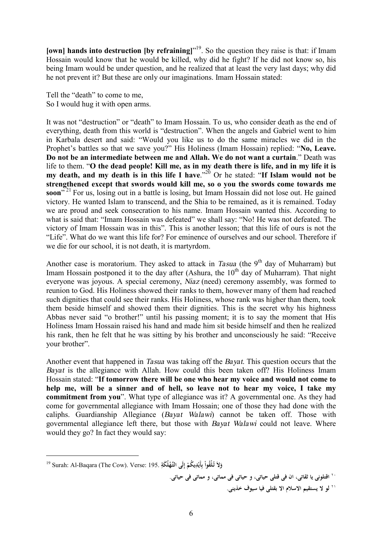**[own] hands into destruction [by refraining]**" 19 . So the question they raise is that: if Imam Hossain would know that he would be killed, why did he fight? If he did not know so, his being Imam would be under question, and he realized that at least the very last days; why did he not prevent it? But these are only our imaginations. Imam Hossain stated:

Tell the "death" to come to me, So I would hug it with open arms.

It was not "destruction" or "death" to Imam Hossain. To us, who consider death as the end of everything, death from this world is "destruction". When the angels and Gabriel went to him in Karbala desert and said: "Would you like us to do the same miracles we did in the Prophet's battles so that we save you?" His Holiness (Imam Hossain) replied: "**No, Leave. Do not be an intermediate between me and Allah. We do not want a curtain**." Death was life to them. "O the dead people! Kill me, as in my death there is life, and in my life it is **my death, and my death is in this life I have**." <sup>20</sup> Or he stated: "**If Islam would not be strengthened except that swords would kill me, so o you the swords come towards me**  soon<sup>"21</sup> For us, losing out in a battle is losing, but Imam Hossain did not lose out. He gained victory. He wanted Islam to transcend, and the Shia to be remained, as it is remained. Today we are proud and seek consecration to his name. Imam Hossain wanted this. According to what is said that: "Imam Hossain was defeated" we shall say: "No! He was not defeated. The victory of Imam Hossain was in this". This is another lesson; that this life of ours is not the "Life". What do we want this life for? For eminence of ourselves and our school. Therefore if we die for our school, it is not death, it is martyrdom.

Another case is moratorium. They asked to attack in *Tasua* (the 9<sup>th</sup> day of Muharram) but Imam Hossain postponed it to the day after (Ashura, the  $10<sup>th</sup>$  day of Muharram). That night everyone was joyous. A special ceremony, *Niaz* (need) ceremony assembly, was formed to reunion to God. His Holiness showed their ranks to them, however many of them had reached such dignities that could see their ranks. His Holiness, whose rank was higher than them, took them beside himself and showed them their dignities. This is the secret why his highness Abbas never said "o brother!" until his passing moment; it is to say the moment that His Holiness Imam Hossain raised his hand and made him sit beside himself and then he realized his rank, then he felt that he was sitting by his brother and unconsciously he said: "Receive your brother".

Another event that happened in *Tasua* was taking off the *Bayat*. This question occurs that the *Bayat* is the allegiance with Allah. How could this been taken off? His Holiness Imam Hossain stated: "**If tomorrow there will be one who hear my voice and would not come to help me, will be a sinner and of hell, so leave not to hear my voice, I take my commitment from you**". What type of allegiance was it? A governmental one. As they had come for governmental allegiance with Imam Hossain; one of those they had done with the caliphs. Guardianship Allegiance (*Bayat Walawi*) cannot be taken off. Those with governmental allegiance left there, but those with *Bayat Walawi* could not leave. Where would they go? In fact they would say:

l

`` اقتلوني يا ثقاتي، ان في قتلي حياتي، و حياتي في مماتي، و مماتي في حياتي. ٢١ **لو لا يستقيم الاسلام الا بقتلی فيا سيوف خذينی.**

<sup>19</sup> Surah: Al-Baqara (The Cow). Verse: 195. **َلاَ تـلُْقوا و ُ ُ يكم ْدِ أَي ب لَى ِ لُ َكة التَّـه ْ ْ ِ إ ِ ْ**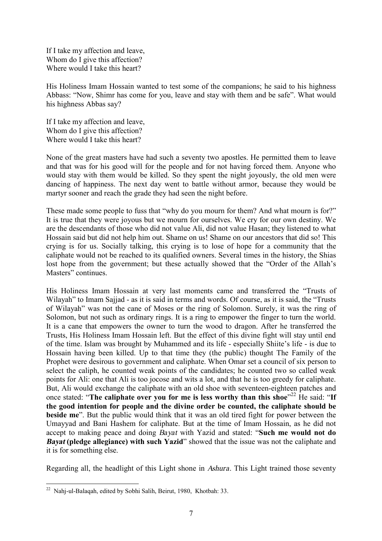If I take my affection and leave, Whom do I give this affection? Where would I take this heart?

His Holiness Imam Hossain wanted to test some of the companions; he said to his highness Abbass: "Now, Shimr has come for you, leave and stay with them and be safe". What would his highness Abbas say?

If I take my affection and leave, Whom do I give this affection? Where would I take this heart?

None of the great masters have had such a seventy two apostles. He permitted them to leave and that was for his good will for the people and for not having forced them. Anyone who would stay with them would be killed. So they spent the night joyously, the old men were dancing of happiness. The next day went to battle without armor, because they would be martyr sooner and reach the grade they had seen the night before.

These made some people to fuss that "why do you mourn for them? And what mourn is for?" It is true that they were joyous but we mourn for ourselves. We cry for our own destiny. We are the descendants of those who did not value Ali, did not value Hasan; they listened to what Hossain said but did not help him out. Shame on us! Shame on our ancestors that did so! This crying is for us. Socially talking, this crying is to lose of hope for a community that the caliphate would not be reached to its qualified owners. Several times in the history, the Shias lost hope from the government; but these actually showed that the "Order of the Allah's Masters" continues.

His Holiness Imam Hossain at very last moments came and transferred the "Trusts of Wilayah" to Imam Sajjad - as it is said in terms and words. Of course, as it is said, the "Trusts of Wilayah" was not the cane of Moses or the ring of Solomon. Surely, it was the ring of Solomon, but not such as ordinary rings. It is a ring to empower the finger to turn the world. It is a cane that empowers the owner to turn the wood to dragon. After he transferred the Trusts, His Holiness Imam Hossain left. But the effect of this divine fight will stay until end of the time. Islam was brought by Muhammed and its life - especially Shiite's life - is due to Hossain having been killed. Up to that time they (the public) thought The Family of the Prophet were desirous to government and caliphate. When Omar set a council of six person to select the caliph, he counted weak points of the candidates; he counted two so called weak points for Ali: one that Ali is too jocose and wits a lot, and that he is too greedy for caliphate. But, Ali would exchange the caliphate with an old shoe with seventeen-eighteen patches and once stated: "**The caliphate over you for me is less worthy than this shoe**" <sup>22</sup> He said: "**If the good intention for people and the divine order be counted, the caliphate should be beside me**". But the public would think that it was an old tired fight for power between the Umayyad and Bani Hashem for caliphate. But at the time of Imam Hossain, as he did not accept to making peace and doing *Bayat* with Yazid and stated: "**Such me would not do**  *Bayat* **(pledge allegiance) with such Yazid**" showed that the issue was not the caliphate and it is for something else.

Regarding all, the headlight of this Light shone in *Ashura*. This Light trained those seventy

 $\overline{a}$ 

 $22$  Nahj-ul-Balaqah, edited by Sobhi Salih, Beirut, 1980, Khotbah: 33.